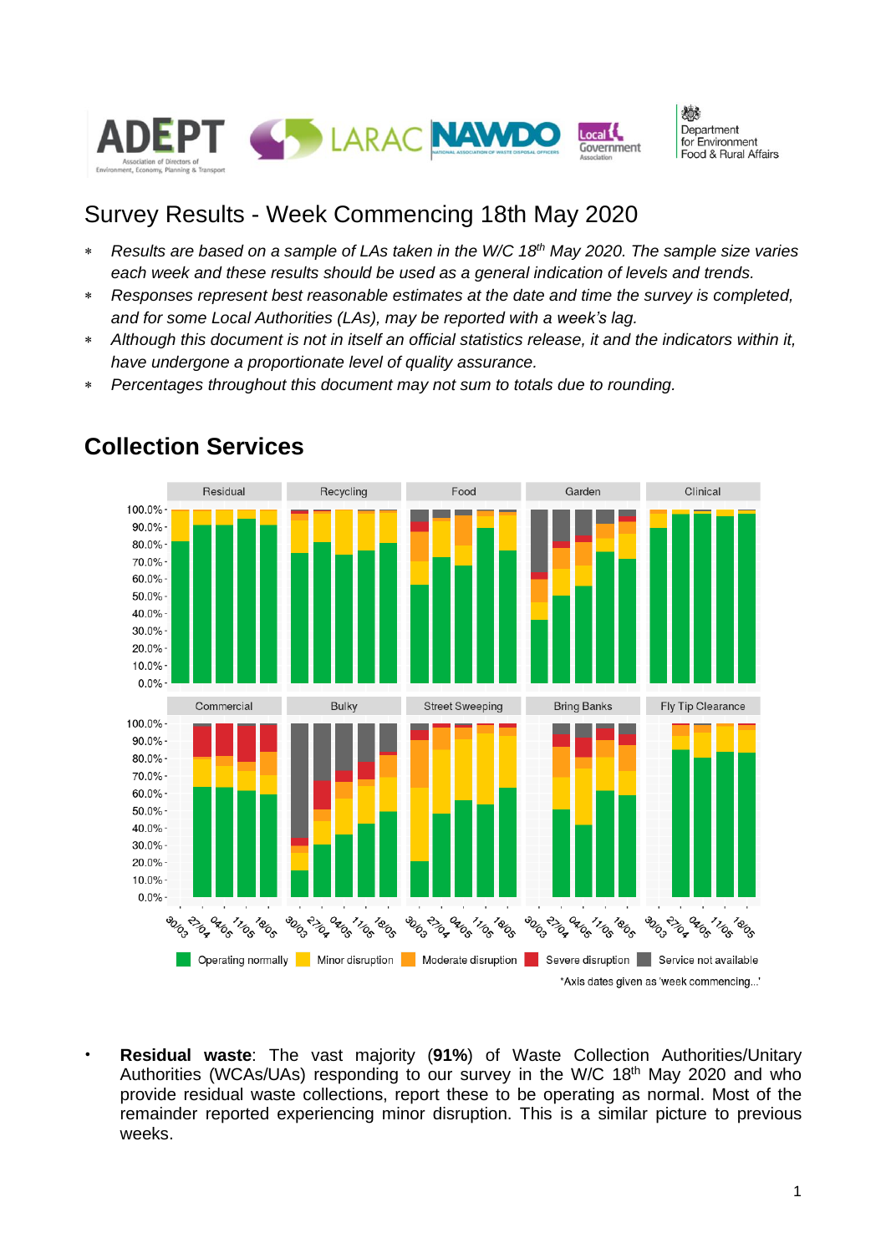

心 Department for Environment Food & Rural Affairs

## Survey Results - Week Commencing 18th May 2020

- \* Results are based on a sample of LAs taken in the W/C 18<sup>th</sup> May 2020. The sample size varies *each week and these results should be used as a general indication of levels and trends.*
- *Responses represent best reasonable estimates at the date and time the survey is completed, and for some Local Authorities (LAs), may be reported with a week's lag.*
- *Although this document is not in itself an official statistics release, it and the indicators within it, have undergone a proportionate level of quality assurance.*
- *Percentages throughout this document may not sum to totals due to rounding.*



#### **Collection Services**

• **Residual waste**: The vast majority (**91%**) of Waste Collection Authorities/Unitary Authorities (WCAs/UAs) responding to our survey in the W/C 18<sup>th</sup> May 2020 and who provide residual waste collections, report these to be operating as normal. Most of the remainder reported experiencing minor disruption. This is a similar picture to previous weeks.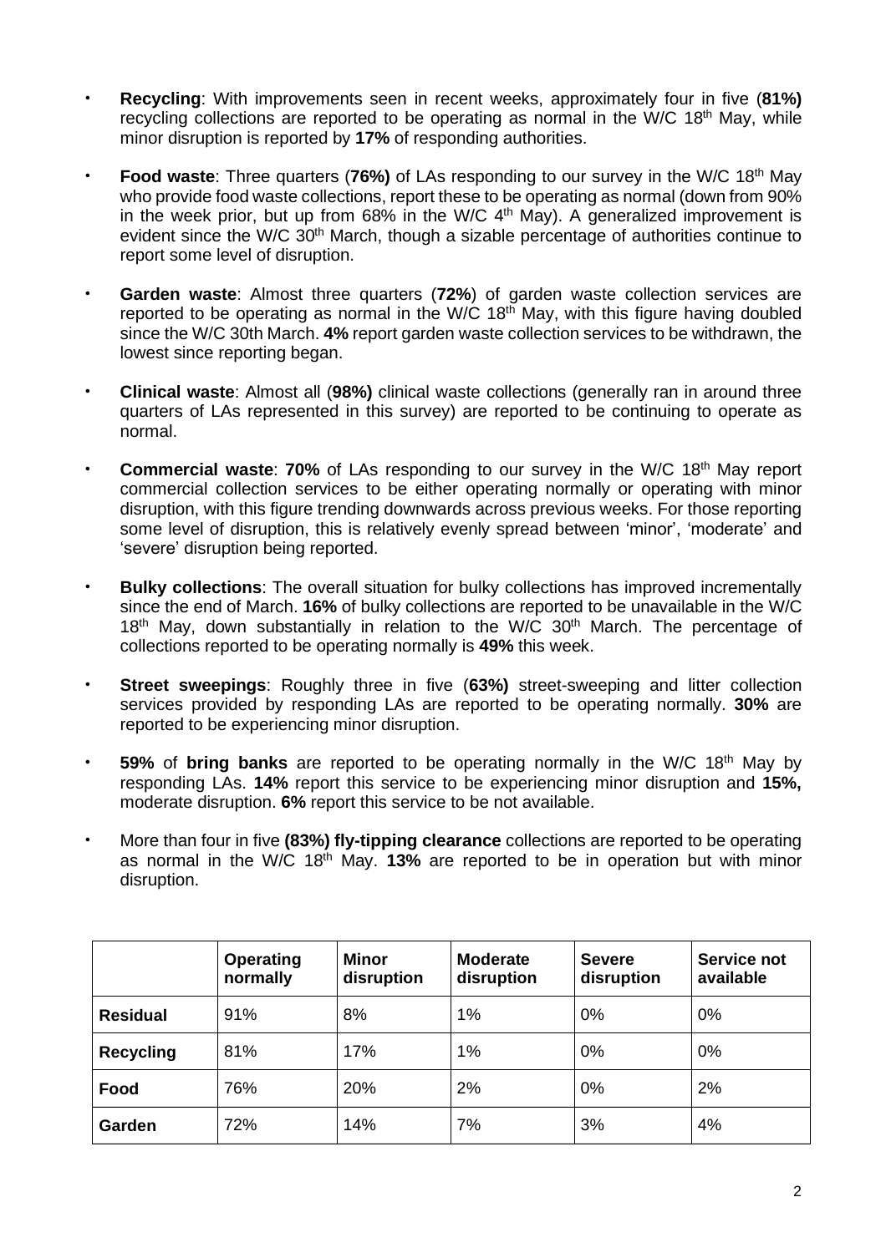- **Recycling**: With improvements seen in recent weeks, approximately four in five (**81%)** recycling collections are reported to be operating as normal in the W/C 18<sup>th</sup> May, while minor disruption is reported by **17%** of responding authorities.
- **Food waste**: Three quarters (76%) of LAs responding to our survey in the W/C 18<sup>th</sup> May who provide food waste collections, report these to be operating as normal (down from 90% in the week prior, but up from  $68\%$  in the W/C  $4<sup>th</sup>$  May). A generalized improvement is evident since the W/C 30<sup>th</sup> March, though a sizable percentage of authorities continue to report some level of disruption.
- **Garden waste**: Almost three quarters (**72%**) of garden waste collection services are reported to be operating as normal in the W/C 18<sup>th</sup> May, with this figure having doubled since the W/C 30th March. **4%** report garden waste collection services to be withdrawn, the lowest since reporting began.
- **Clinical waste**: Almost all (**98%)** clinical waste collections (generally ran in around three quarters of LAs represented in this survey) are reported to be continuing to operate as normal.
- **Commercial waste: 70%** of LAs responding to our survey in the W/C 18<sup>th</sup> May report commercial collection services to be either operating normally or operating with minor disruption, with this figure trending downwards across previous weeks. For those reporting some level of disruption, this is relatively evenly spread between 'minor', 'moderate' and 'severe' disruption being reported.
- **Bulky collections**: The overall situation for bulky collections has improved incrementally since the end of March. **16%** of bulky collections are reported to be unavailable in the W/C  $18<sup>th</sup>$  May, down substantially in relation to the W/C  $30<sup>th</sup>$  March. The percentage of collections reported to be operating normally is **49%** this week.
- **Street sweepings**: Roughly three in five (**63%)** street-sweeping and litter collection services provided by responding LAs are reported to be operating normally. **30%** are reported to be experiencing minor disruption.
- **59%** of **bring banks** are reported to be operating normally in the W/C 18<sup>th</sup> May by responding LAs. **14%** report this service to be experiencing minor disruption and **15%,** moderate disruption. **6%** report this service to be not available.
- More than four in five **(83%) fly-tipping clearance** collections are reported to be operating as normal in the W/C 18th May. **13%** are reported to be in operation but with minor disruption.

|                  | <b>Operating</b><br>normally | <b>Minor</b><br>disruption | <b>Moderate</b><br>disruption | <b>Severe</b><br>disruption | Service not<br>available |
|------------------|------------------------------|----------------------------|-------------------------------|-----------------------------|--------------------------|
| <b>Residual</b>  | 91%                          | 8%                         | 1%                            | 0%                          | 0%                       |
| <b>Recycling</b> | 81%                          | 17%                        | 1%                            | 0%                          | 0%                       |
| Food             | 76%                          | 20%                        | 2%                            | 0%                          | 2%                       |
| Garden           | 72%                          | 14%                        | 7%                            | 3%                          | 4%                       |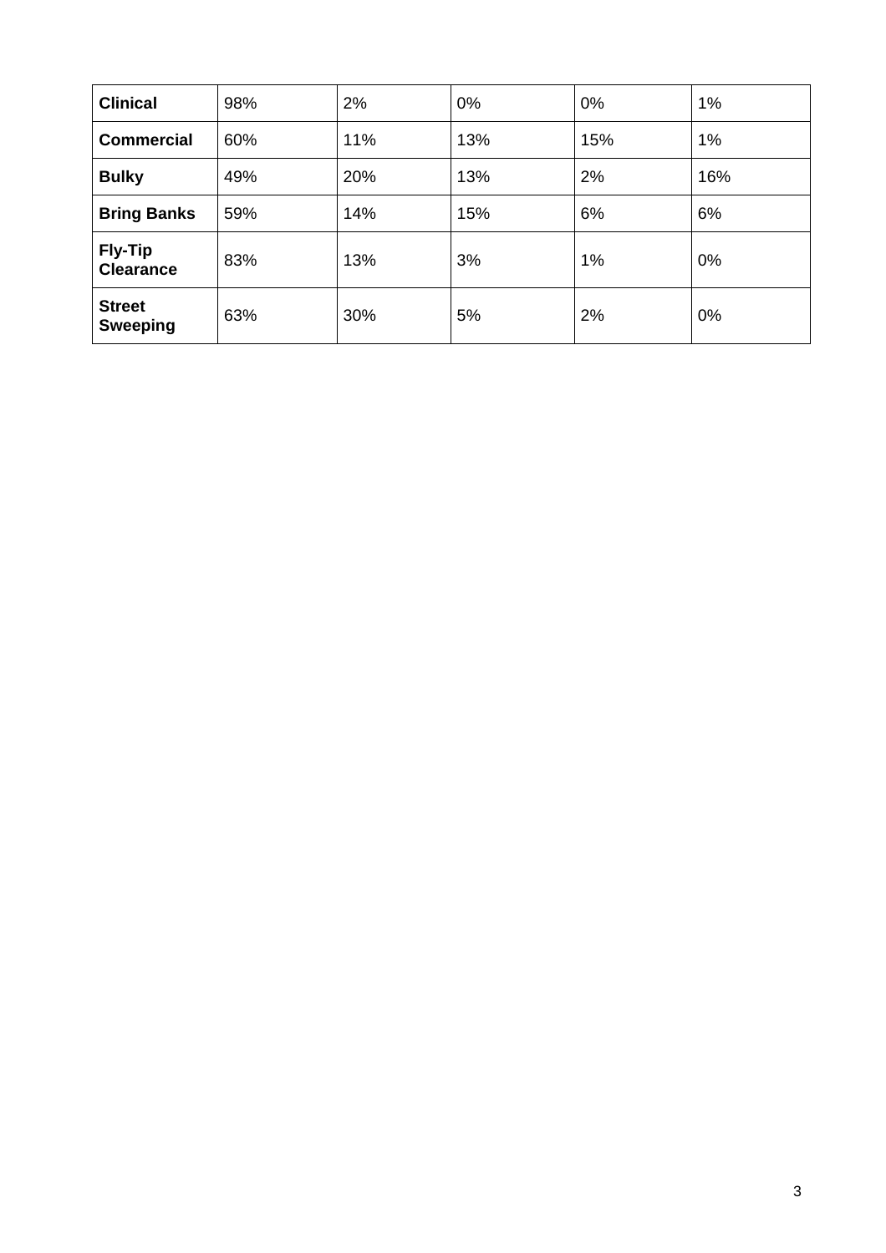| <b>Clinical</b>                    | 98% | 2%  | 0%  | 0%  | 1%  |
|------------------------------------|-----|-----|-----|-----|-----|
| <b>Commercial</b>                  | 60% | 11% | 13% | 15% | 1%  |
| <b>Bulky</b>                       | 49% | 20% | 13% | 2%  | 16% |
| <b>Bring Banks</b>                 | 59% | 14% | 15% | 6%  | 6%  |
| <b>Fly-Tip</b><br><b>Clearance</b> | 83% | 13% | 3%  | 1%  | 0%  |
| <b>Street</b><br><b>Sweeping</b>   | 63% | 30% | 5%  | 2%  | 0%  |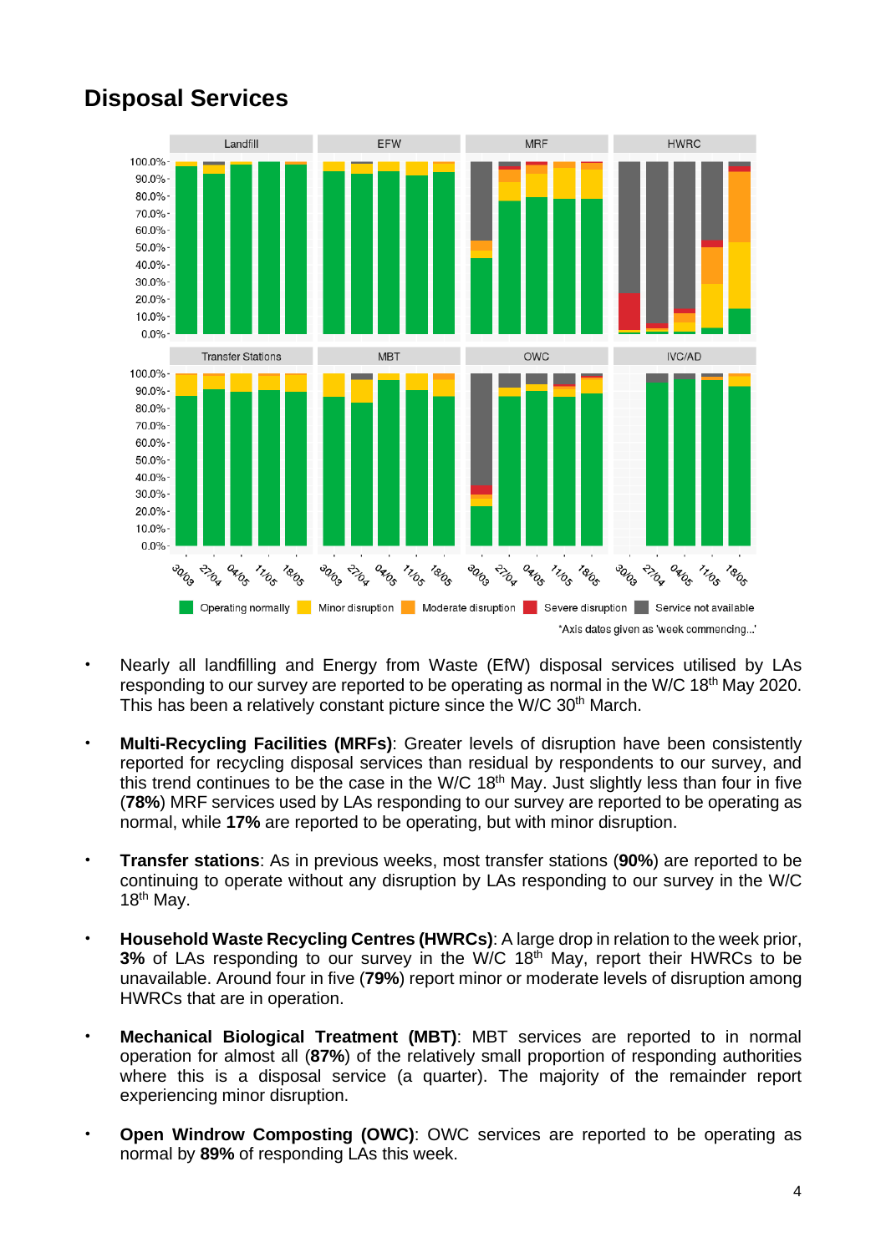

# **Disposal Services**

- Nearly all landfilling and Energy from Waste (EfW) disposal services utilised by LAs responding to our survey are reported to be operating as normal in the W/C 18<sup>th</sup> May 2020. This has been a relatively constant picture since the W/C 30th March.
- **Multi-Recycling Facilities (MRFs)**: Greater levels of disruption have been consistently reported for recycling disposal services than residual by respondents to our survey, and this trend continues to be the case in the W/C 18<sup>th</sup> May. Just slightly less than four in five (**78%**) MRF services used by LAs responding to our survey are reported to be operating as normal, while **17%** are reported to be operating, but with minor disruption.
- **Transfer stations**: As in previous weeks, most transfer stations (**90%**) are reported to be continuing to operate without any disruption by LAs responding to our survey in the W/C  $18<sup>th</sup>$  May.
- **Household Waste Recycling Centres (HWRCs)**: A large drop in relation to the week prior, **3%** of LAs responding to our survey in the W/C 18<sup>th</sup> May, report their HWRCs to be unavailable. Around four in five (**79%**) report minor or moderate levels of disruption among HWRCs that are in operation.
- **Mechanical Biological Treatment (MBT)**: MBT services are reported to in normal operation for almost all (**87%**) of the relatively small proportion of responding authorities where this is a disposal service (a quarter). The majority of the remainder report experiencing minor disruption.
- **Open Windrow Composting (OWC)**: OWC services are reported to be operating as normal by **89%** of responding LAs this week.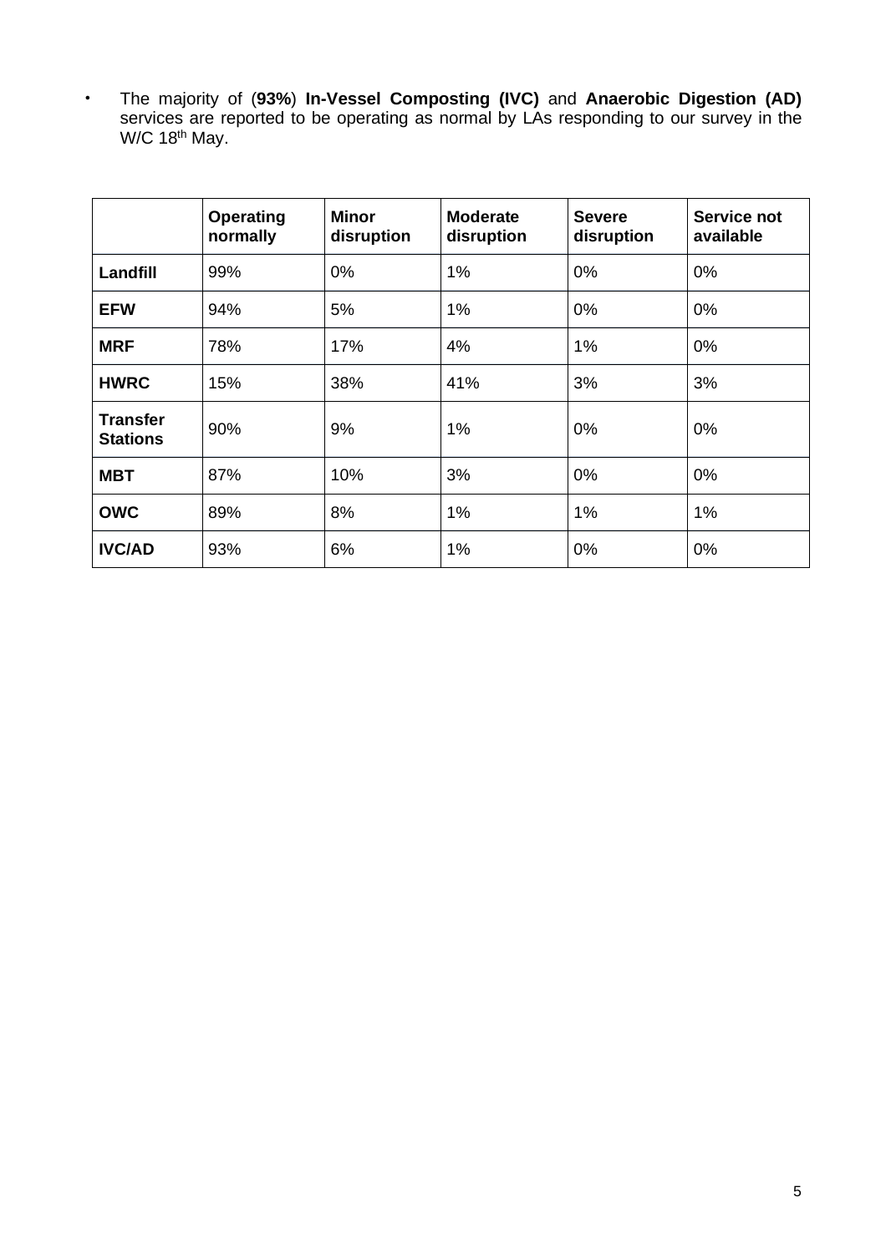• The majority of (**93%**) **In-Vessel Composting (IVC)** and **Anaerobic Digestion (AD)** services are reported to be operating as normal by LAs responding to our survey in the W/C 18<sup>th</sup> May.

|                                    | <b>Operating</b><br>normally | Minor<br>disruption | <b>Moderate</b><br>disruption | <b>Severe</b><br>disruption | Service not<br>available |
|------------------------------------|------------------------------|---------------------|-------------------------------|-----------------------------|--------------------------|
| Landfill                           | 99%                          | 0%                  | 1%                            | 0%                          | 0%                       |
| <b>EFW</b>                         | 94%                          | 5%                  | 1%                            | 0%                          | 0%                       |
| <b>MRF</b>                         | 78%                          | 17%                 | 4%                            | 1%                          | 0%                       |
| <b>HWRC</b>                        | 15%                          | 38%                 | 41%                           | 3%                          | 3%                       |
| <b>Transfer</b><br><b>Stations</b> | 90%                          | 9%                  | 1%                            | 0%                          | 0%                       |
| <b>MBT</b>                         | 87%                          | 10%                 | 3%                            | 0%                          | 0%                       |
| <b>OWC</b>                         | 89%                          | 8%                  | 1%                            | 1%                          | 1%                       |
| <b>IVC/AD</b>                      | 93%                          | 6%                  | 1%                            | 0%                          | 0%                       |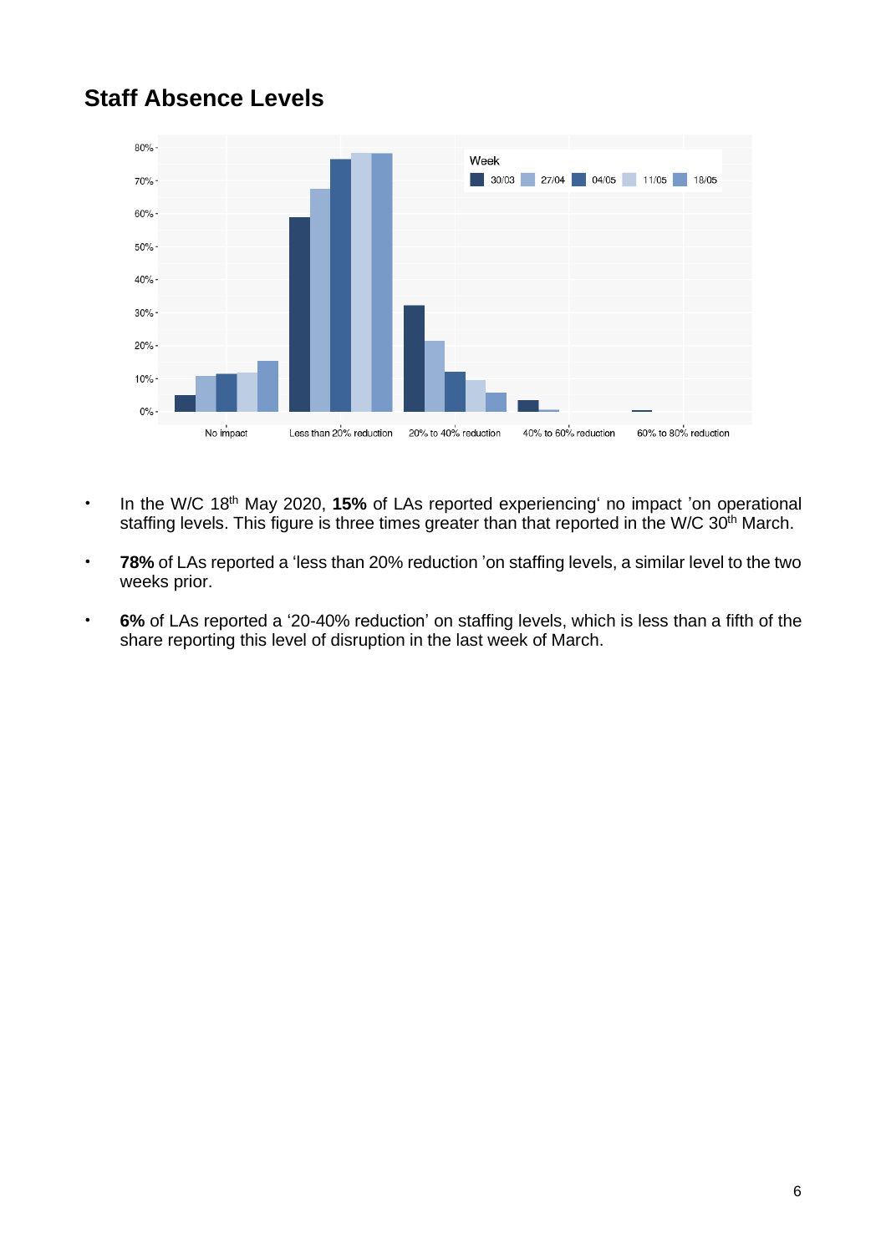#### **Staff Absence Levels**



- In the W/C 18th May 2020, **15%** of LAs reported experiencing' no impact 'on operational staffing levels. This figure is three times greater than that reported in the W/C 30<sup>th</sup> March.
- **78%** of LAs reported a 'less than 20% reduction 'on staffing levels, a similar level to the two weeks prior.
- **6%** of LAs reported a '20-40% reduction' on staffing levels, which is less than a fifth of the share reporting this level of disruption in the last week of March.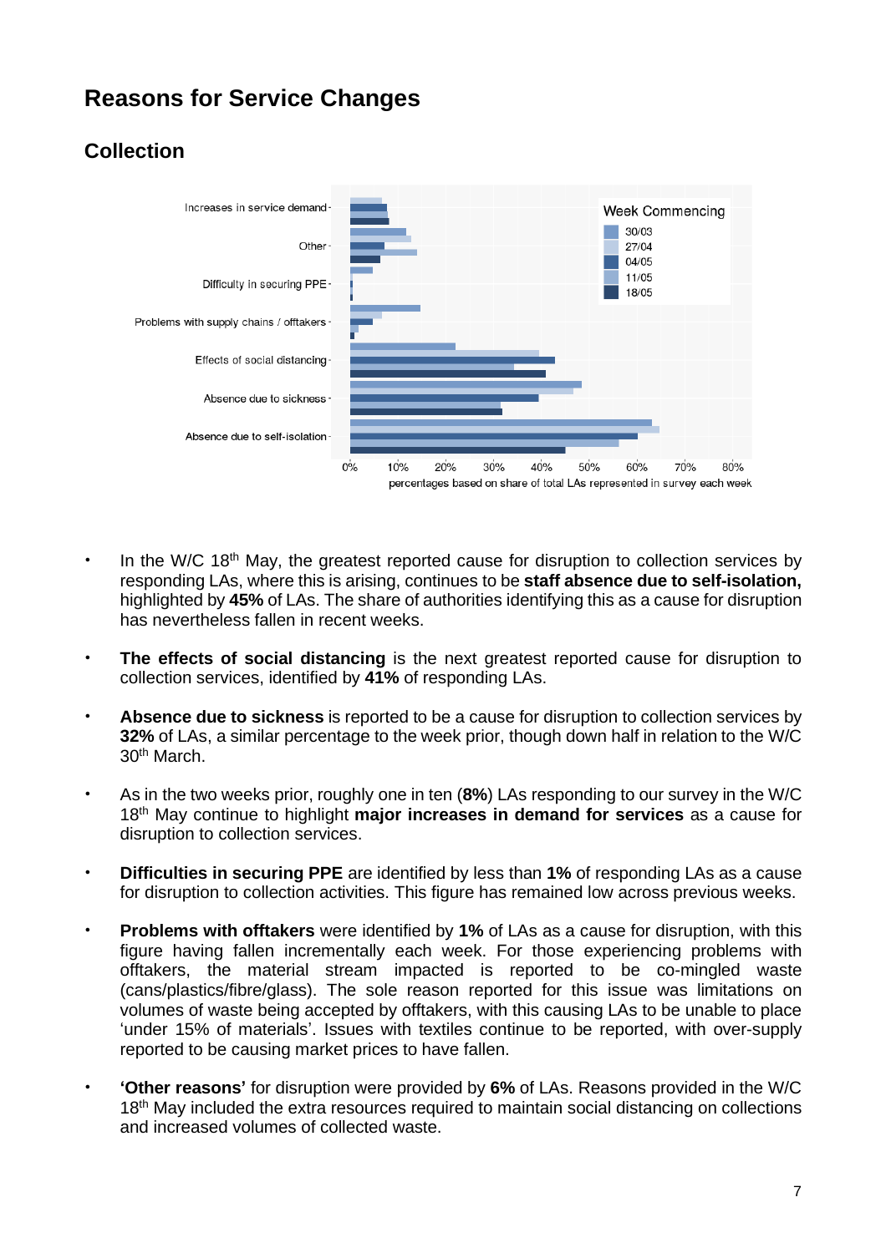## **Reasons for Service Changes**

#### **Collection**



- In the W/C 18<sup>th</sup> May, the greatest reported cause for disruption to collection services by responding LAs, where this is arising, continues to be **staff absence due to self-isolation,** highlighted by **45%** of LAs. The share of authorities identifying this as a cause for disruption has nevertheless fallen in recent weeks.
- **The effects of social distancing** is the next greatest reported cause for disruption to collection services, identified by **41%** of responding LAs.
- **Absence due to sickness** is reported to be a cause for disruption to collection services by **32%** of LAs, a similar percentage to the week prior, though down half in relation to the W/C 30th March.
- As in the two weeks prior, roughly one in ten (**8%**) LAs responding to our survey in the W/C 18th May continue to highlight **major increases in demand for services** as a cause for disruption to collection services.
- **Difficulties in securing PPE** are identified by less than **1%** of responding LAs as a cause for disruption to collection activities. This figure has remained low across previous weeks.
- **Problems with offtakers** were identified by **1%** of LAs as a cause for disruption, with this figure having fallen incrementally each week. For those experiencing problems with offtakers, the material stream impacted is reported to be co-mingled waste (cans/plastics/fibre/glass). The sole reason reported for this issue was limitations on volumes of waste being accepted by offtakers, with this causing LAs to be unable to place 'under 15% of materials'. Issues with textiles continue to be reported, with over-supply reported to be causing market prices to have fallen.
- **'Other reasons'** for disruption were provided by **6%** of LAs. Reasons provided in the W/C 18<sup>th</sup> May included the extra resources required to maintain social distancing on collections and increased volumes of collected waste.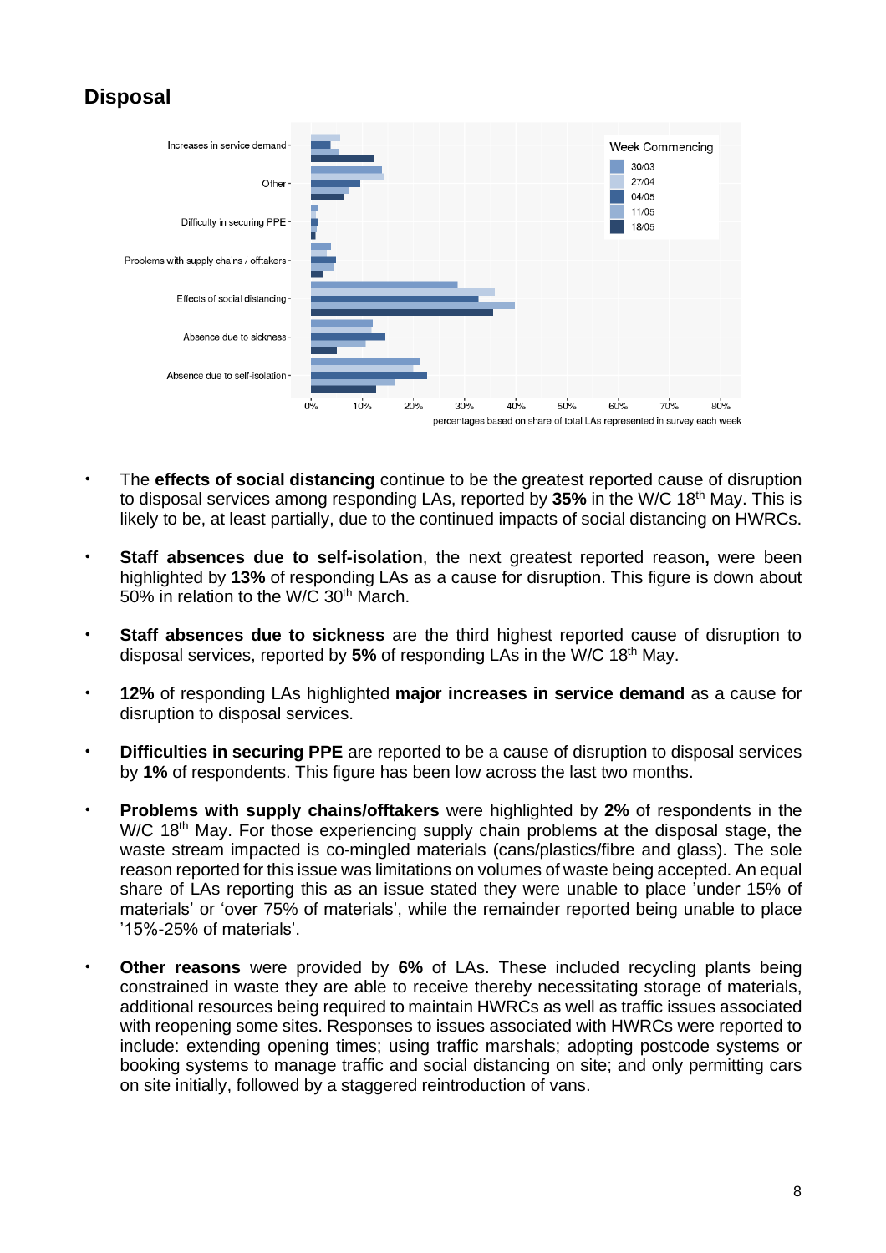#### **Disposal**



- The **effects of social distancing** continue to be the greatest reported cause of disruption to disposal services among responding LAs, reported by **35%** in the W/C 18th May. This is likely to be, at least partially, due to the continued impacts of social distancing on HWRCs.
- **Staff absences due to self-isolation**, the next greatest reported reason**,** were been highlighted by **13%** of responding LAs as a cause for disruption. This figure is down about 50% in relation to the W/C 30th March.
- **Staff absences due to sickness** are the third highest reported cause of disruption to disposal services, reported by **5%** of responding LAs in the W/C 18th May.
- **12%** of responding LAs highlighted **major increases in service demand** as a cause for disruption to disposal services.
- **Difficulties in securing PPE** are reported to be a cause of disruption to disposal services by **1%** of respondents. This figure has been low across the last two months.
- **Problems with supply chains/offtakers** were highlighted by **2%** of respondents in the W/C 18<sup>th</sup> May. For those experiencing supply chain problems at the disposal stage, the waste stream impacted is co-mingled materials (cans/plastics/fibre and glass). The sole reason reported for this issue was limitations on volumes of waste being accepted. An equal share of LAs reporting this as an issue stated they were unable to place 'under 15% of materials' or 'over 75% of materials', while the remainder reported being unable to place '15%-25% of materials'.
- **Other reasons** were provided by **6%** of LAs. These included recycling plants being constrained in waste they are able to receive thereby necessitating storage of materials, additional resources being required to maintain HWRCs as well as traffic issues associated with reopening some sites. Responses to issues associated with HWRCs were reported to include: extending opening times; using traffic marshals; adopting postcode systems or booking systems to manage traffic and social distancing on site; and only permitting cars on site initially, followed by a staggered reintroduction of vans.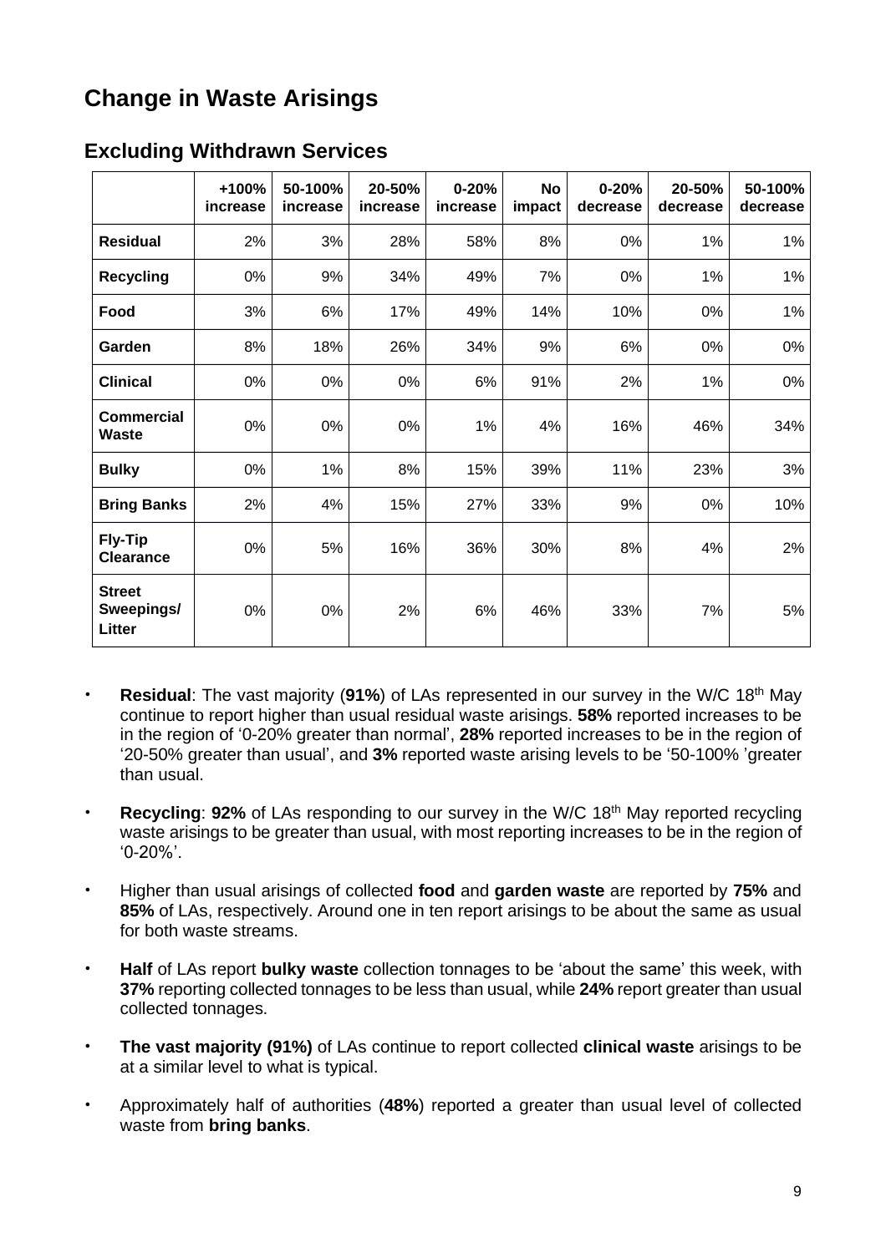# **Change in Waste Arisings**

|                                              | +100%<br>increase | 50-100%<br>increase | 20-50%<br>increase | $0 - 20%$<br>increase | <b>No</b><br>impact | $0 - 20%$<br>decrease | 20-50%<br>decrease | 50-100%<br>decrease |
|----------------------------------------------|-------------------|---------------------|--------------------|-----------------------|---------------------|-----------------------|--------------------|---------------------|
| <b>Residual</b>                              | 2%                | 3%                  | 28%                | 58%                   | 8%                  | 0%                    | 1%                 | 1%                  |
| <b>Recycling</b>                             | 0%                | 9%                  | 34%                | 49%                   | 7%                  | 0%                    | 1%                 | 1%                  |
| Food                                         | 3%                | 6%                  | 17%                | 49%                   | 14%                 | 10%                   | 0%                 | 1%                  |
| Garden                                       | 8%                | 18%                 | 26%                | 34%                   | 9%                  | 6%                    | 0%                 | 0%                  |
| <b>Clinical</b>                              | 0%                | 0%                  | 0%                 | 6%                    | 91%                 | 2%                    | 1%                 | 0%                  |
| Commercial<br><b>Waste</b>                   | 0%                | 0%                  | 0%                 | 1%                    | 4%                  | 16%                   | 46%                | 34%                 |
| <b>Bulky</b>                                 | 0%                | 1%                  | 8%                 | 15%                   | 39%                 | 11%                   | 23%                | 3%                  |
| <b>Bring Banks</b>                           | 2%                | 4%                  | 15%                | 27%                   | 33%                 | 9%                    | 0%                 | 10%                 |
| <b>Fly-Tip</b><br><b>Clearance</b>           | 0%                | 5%                  | 16%                | 36%                   | 30%                 | 8%                    | 4%                 | 2%                  |
| <b>Street</b><br>Sweepings/<br><b>Litter</b> | 0%                | 0%                  | 2%                 | 6%                    | 46%                 | 33%                   | 7%                 | 5%                  |

#### **Excluding Withdrawn Services**

- **Residual**: The vast majority (91%) of LAs represented in our survey in the W/C 18<sup>th</sup> May continue to report higher than usual residual waste arisings. **58%** reported increases to be in the region of '0-20% greater than normal', **28%** reported increases to be in the region of '20-50% greater than usual', and **3%** reported waste arising levels to be '50-100% 'greater than usual.
- **Recycling: 92%** of LAs responding to our survey in the W/C 18<sup>th</sup> May reported recycling waste arisings to be greater than usual, with most reporting increases to be in the region of '0-20%'.
- Higher than usual arisings of collected **food** and **garden waste** are reported by **75%** and **85%** of LAs, respectively. Around one in ten report arisings to be about the same as usual for both waste streams.
- **Half** of LAs report **bulky waste** collection tonnages to be 'about the same' this week, with **37%** reporting collected tonnages to be less than usual, while **24%** report greater than usual collected tonnages.
- **The vast majority (91%)** of LAs continue to report collected **clinical waste** arisings to be at a similar level to what is typical.
- Approximately half of authorities (**48%**) reported a greater than usual level of collected waste from **bring banks**.